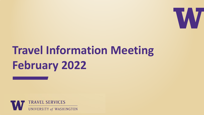

# **Travel Information Meeting February 2022**

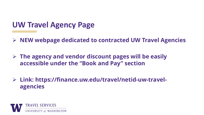#### **UW Travel Agency Page**

**NEW webpage dedicated to contracted UW Travel Agencies**

 **The agency and vendor discount pages will be easily accessible under the "Book and Pay" section**

 **Link: https://finance.uw.edu/travel/netid-uw-travelagencies**

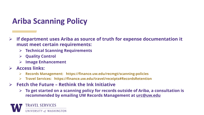## **Ariba Scanning Policy**

- **If department uses Ariba as source of truth for expense documentation it must meet certain requirements:**
	- **Technical Scanning Requirements**
	- **Quality Control**
	- **Image Enhancement**
- **Access links:** 
	- **Records Management: https://finance.uw.edu/recmgt/scanning-policies**
	- **Travel Services: https://finance.uw.edu/travel/receipts#RecordsRetention**
- **Fetch the Future – Rethink the Ink Initiative**
	- **To get started on a scanning policy for records outside of Ariba, a consultation is recommended by emailing UW Records Management at [urc@uw.edu](mailto:urc@uw.edu)**

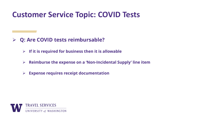#### **Customer Service Topic: COVID Tests**

- **Q: Are COVID tests reimbursable?**
	- **If it is required for business then it is allowable**
	- **Reimburse the expense on a 'Non-Incidental Supply' line item**
	- **Expense requires receipt documentation**

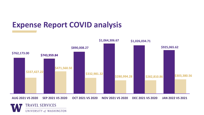## **Expense Report COVID analysis**

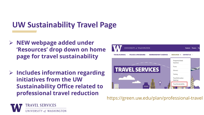# **UW Sustainability Travel Page**

- **NEW webpage added under 'Resources' drop down on home page for travel sustainability**
- **Includes information regarding initiatives from the UW Sustainability Office related to professional travel reduction**



https://green.uw.edu/plan/professional-travel